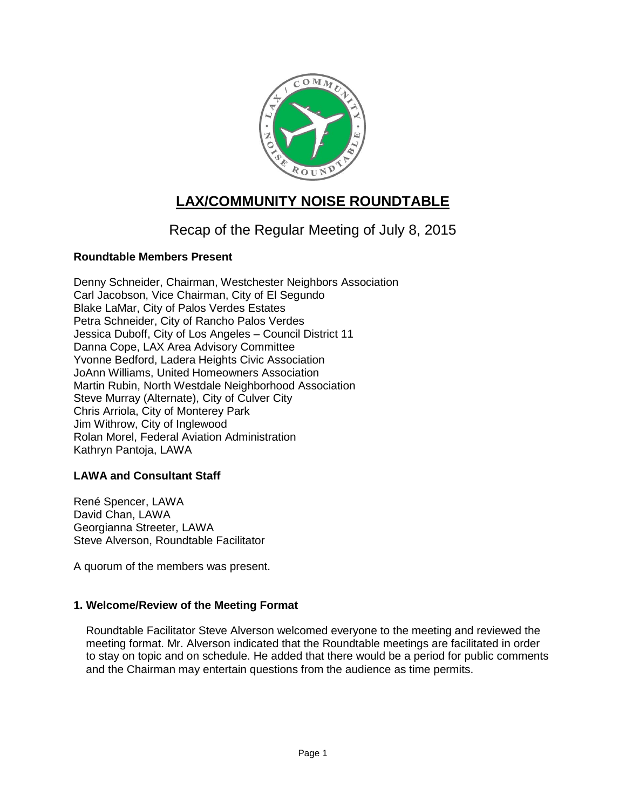

# **LAX/COMMUNITY NOISE ROUNDTABLE**

## Recap of the Regular Meeting of July 8, 2015

## **Roundtable Members Present**

Denny Schneider, Chairman, Westchester Neighbors Association Carl Jacobson, Vice Chairman, City of El Segundo Blake LaMar, City of Palos Verdes Estates Petra Schneider, City of Rancho Palos Verdes Jessica Duboff, City of Los Angeles – Council District 11 Danna Cope, LAX Area Advisory Committee Yvonne Bedford, Ladera Heights Civic Association JoAnn Williams, United Homeowners Association Martin Rubin, North Westdale Neighborhood Association Steve Murray (Alternate), City of Culver City Chris Arriola, City of Monterey Park Jim Withrow, City of Inglewood Rolan Morel, Federal Aviation Administration Kathryn Pantoja, LAWA

## **LAWA and Consultant Staff**

René Spencer, LAWA David Chan, LAWA Georgianna Streeter, LAWA Steve Alverson, Roundtable Facilitator

A quorum of the members was present.

## **1. Welcome/Review of the Meeting Format**

Roundtable Facilitator Steve Alverson welcomed everyone to the meeting and reviewed the meeting format. Mr. Alverson indicated that the Roundtable meetings are facilitated in order to stay on topic and on schedule. He added that there would be a period for public comments and the Chairman may entertain questions from the audience as time permits.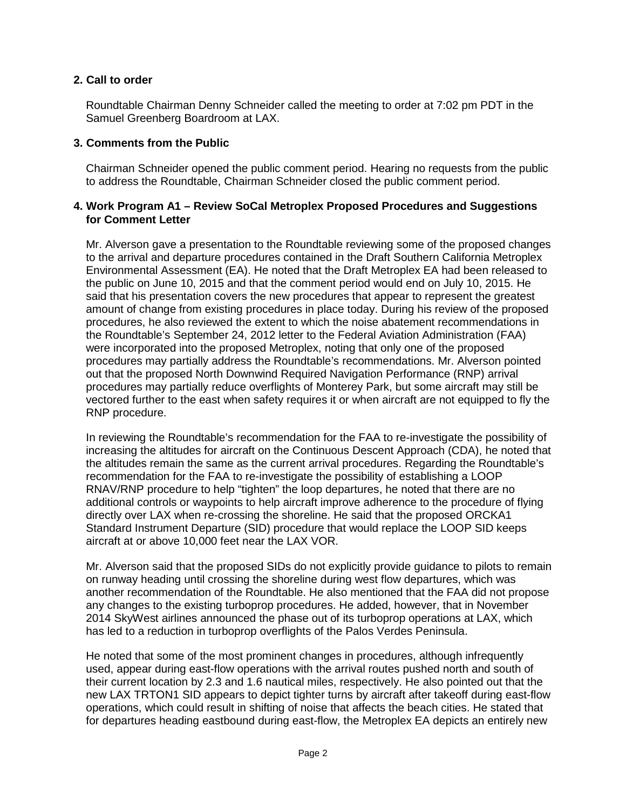## **2. Call to order**

Roundtable Chairman Denny Schneider called the meeting to order at 7:02 pm PDT in the Samuel Greenberg Boardroom at LAX.

## **3. Comments from the Public**

Chairman Schneider opened the public comment period. Hearing no requests from the public to address the Roundtable, Chairman Schneider closed the public comment period.

#### **4. Work Program A1 – Review SoCal Metroplex Proposed Procedures and Suggestions for Comment Letter**

Mr. Alverson gave a presentation to the Roundtable reviewing some of the proposed changes to the arrival and departure procedures contained in the Draft Southern California Metroplex Environmental Assessment (EA). He noted that the Draft Metroplex EA had been released to the public on June 10, 2015 and that the comment period would end on July 10, 2015. He said that his presentation covers the new procedures that appear to represent the greatest amount of change from existing procedures in place today. During his review of the proposed procedures, he also reviewed the extent to which the noise abatement recommendations in the Roundtable's September 24, 2012 letter to the Federal Aviation Administration (FAA) were incorporated into the proposed Metroplex, noting that only one of the proposed procedures may partially address the Roundtable's recommendations. Mr. Alverson pointed out that the proposed North Downwind Required Navigation Performance (RNP) arrival procedures may partially reduce overflights of Monterey Park, but some aircraft may still be vectored further to the east when safety requires it or when aircraft are not equipped to fly the RNP procedure.

In reviewing the Roundtable's recommendation for the FAA to re-investigate the possibility of increasing the altitudes for aircraft on the Continuous Descent Approach (CDA), he noted that the altitudes remain the same as the current arrival procedures. Regarding the Roundtable's recommendation for the FAA to re-investigate the possibility of establishing a LOOP RNAV/RNP procedure to help "tighten" the loop departures, he noted that there are no additional controls or waypoints to help aircraft improve adherence to the procedure of flying directly over LAX when re-crossing the shoreline. He said that the proposed ORCKA1 Standard Instrument Departure (SID) procedure that would replace the LOOP SID keeps aircraft at or above 10,000 feet near the LAX VOR.

Mr. Alverson said that the proposed SIDs do not explicitly provide guidance to pilots to remain on runway heading until crossing the shoreline during west flow departures, which was another recommendation of the Roundtable. He also mentioned that the FAA did not propose any changes to the existing turboprop procedures. He added, however, that in November 2014 SkyWest airlines announced the phase out of its turboprop operations at LAX, which has led to a reduction in turboprop overflights of the Palos Verdes Peninsula.

He noted that some of the most prominent changes in procedures, although infrequently used, appear during east-flow operations with the arrival routes pushed north and south of their current location by 2.3 and 1.6 nautical miles, respectively. He also pointed out that the new LAX TRTON1 SID appears to depict tighter turns by aircraft after takeoff during east-flow operations, which could result in shifting of noise that affects the beach cities. He stated that for departures heading eastbound during east-flow, the Metroplex EA depicts an entirely new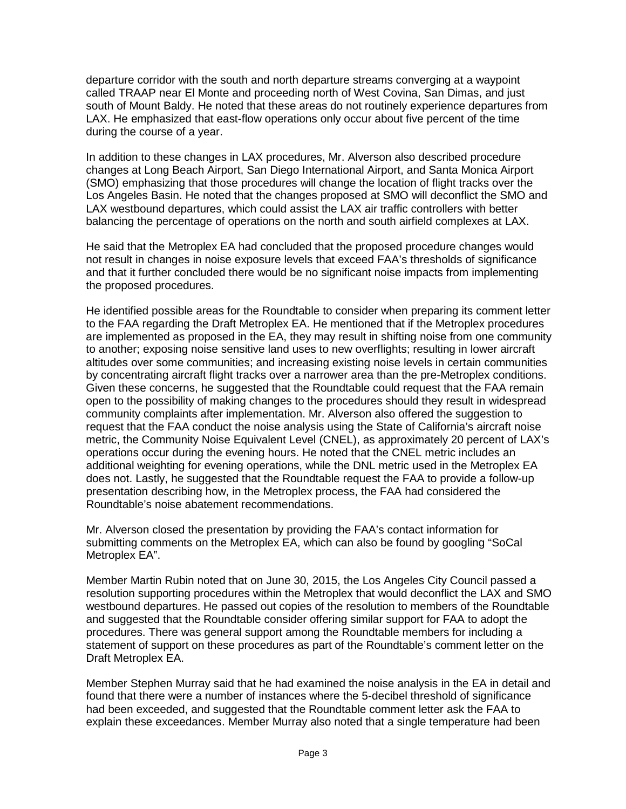departure corridor with the south and north departure streams converging at a waypoint called TRAAP near El Monte and proceeding north of West Covina, San Dimas, and just south of Mount Baldy. He noted that these areas do not routinely experience departures from LAX. He emphasized that east-flow operations only occur about five percent of the time during the course of a year.

In addition to these changes in LAX procedures, Mr. Alverson also described procedure changes at Long Beach Airport, San Diego International Airport, and Santa Monica Airport (SMO) emphasizing that those procedures will change the location of flight tracks over the Los Angeles Basin. He noted that the changes proposed at SMO will deconflict the SMO and LAX westbound departures, which could assist the LAX air traffic controllers with better balancing the percentage of operations on the north and south airfield complexes at LAX.

He said that the Metroplex EA had concluded that the proposed procedure changes would not result in changes in noise exposure levels that exceed FAA's thresholds of significance and that it further concluded there would be no significant noise impacts from implementing the proposed procedures.

He identified possible areas for the Roundtable to consider when preparing its comment letter to the FAA regarding the Draft Metroplex EA. He mentioned that if the Metroplex procedures are implemented as proposed in the EA, they may result in shifting noise from one community to another; exposing noise sensitive land uses to new overflights; resulting in lower aircraft altitudes over some communities; and increasing existing noise levels in certain communities by concentrating aircraft flight tracks over a narrower area than the pre-Metroplex conditions. Given these concerns, he suggested that the Roundtable could request that the FAA remain open to the possibility of making changes to the procedures should they result in widespread community complaints after implementation. Mr. Alverson also offered the suggestion to request that the FAA conduct the noise analysis using the State of California's aircraft noise metric, the Community Noise Equivalent Level (CNEL), as approximately 20 percent of LAX's operations occur during the evening hours. He noted that the CNEL metric includes an additional weighting for evening operations, while the DNL metric used in the Metroplex EA does not. Lastly, he suggested that the Roundtable request the FAA to provide a follow-up presentation describing how, in the Metroplex process, the FAA had considered the Roundtable's noise abatement recommendations.

Mr. Alverson closed the presentation by providing the FAA's contact information for submitting comments on the Metroplex EA, which can also be found by googling "SoCal Metroplex EA".

Member Martin Rubin noted that on June 30, 2015, the Los Angeles City Council passed a resolution supporting procedures within the Metroplex that would deconflict the LAX and SMO westbound departures. He passed out copies of the resolution to members of the Roundtable and suggested that the Roundtable consider offering similar support for FAA to adopt the procedures. There was general support among the Roundtable members for including a statement of support on these procedures as part of the Roundtable's comment letter on the Draft Metroplex EA.

Member Stephen Murray said that he had examined the noise analysis in the EA in detail and found that there were a number of instances where the 5-decibel threshold of significance had been exceeded, and suggested that the Roundtable comment letter ask the FAA to explain these exceedances. Member Murray also noted that a single temperature had been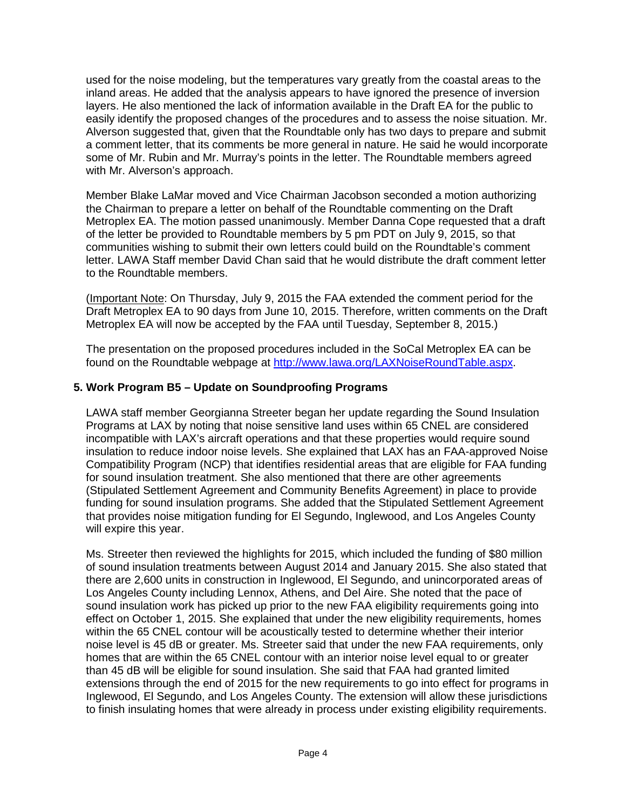used for the noise modeling, but the temperatures vary greatly from the coastal areas to the inland areas. He added that the analysis appears to have ignored the presence of inversion layers. He also mentioned the lack of information available in the Draft EA for the public to easily identify the proposed changes of the procedures and to assess the noise situation. Mr. Alverson suggested that, given that the Roundtable only has two days to prepare and submit a comment letter, that its comments be more general in nature. He said he would incorporate some of Mr. Rubin and Mr. Murray's points in the letter. The Roundtable members agreed with Mr. Alverson's approach.

Member Blake LaMar moved and Vice Chairman Jacobson seconded a motion authorizing the Chairman to prepare a letter on behalf of the Roundtable commenting on the Draft Metroplex EA. The motion passed unanimously. Member Danna Cope requested that a draft of the letter be provided to Roundtable members by 5 pm PDT on July 9, 2015, so that communities wishing to submit their own letters could build on the Roundtable's comment letter. LAWA Staff member David Chan said that he would distribute the draft comment letter to the Roundtable members.

(Important Note: On Thursday, July 9, 2015 the FAA extended the comment period for the Draft Metroplex EA to 90 days from June 10, 2015. Therefore, written comments on the Draft Metroplex EA will now be accepted by the FAA until Tuesday, September 8, 2015.)

The presentation on the proposed procedures included in the SoCal Metroplex EA can be found on the Roundtable webpage at [http://www.lawa.org/LAXNoiseRoundTable.aspx.](http://www.lawa.org/LAXNoiseRoundTable.aspx)

## **5. Work Program B5 – Update on Soundproofing Programs**

LAWA staff member Georgianna Streeter began her update regarding the Sound Insulation Programs at LAX by noting that noise sensitive land uses within 65 CNEL are considered incompatible with LAX's aircraft operations and that these properties would require sound insulation to reduce indoor noise levels. She explained that LAX has an FAA-approved Noise Compatibility Program (NCP) that identifies residential areas that are eligible for FAA funding for sound insulation treatment. She also mentioned that there are other agreements (Stipulated Settlement Agreement and Community Benefits Agreement) in place to provide funding for sound insulation programs. She added that the Stipulated Settlement Agreement that provides noise mitigation funding for El Segundo, Inglewood, and Los Angeles County will expire this year.

Ms. Streeter then reviewed the highlights for 2015, which included the funding of \$80 million of sound insulation treatments between August 2014 and January 2015. She also stated that there are 2,600 units in construction in Inglewood, El Segundo, and unincorporated areas of Los Angeles County including Lennox, Athens, and Del Aire. She noted that the pace of sound insulation work has picked up prior to the new FAA eligibility requirements going into effect on October 1, 2015. She explained that under the new eligibility requirements, homes within the 65 CNEL contour will be acoustically tested to determine whether their interior noise level is 45 dB or greater. Ms. Streeter said that under the new FAA requirements, only homes that are within the 65 CNEL contour with an interior noise level equal to or greater than 45 dB will be eligible for sound insulation. She said that FAA had granted limited extensions through the end of 2015 for the new requirements to go into effect for programs in Inglewood, El Segundo, and Los Angeles County. The extension will allow these jurisdictions to finish insulating homes that were already in process under existing eligibility requirements.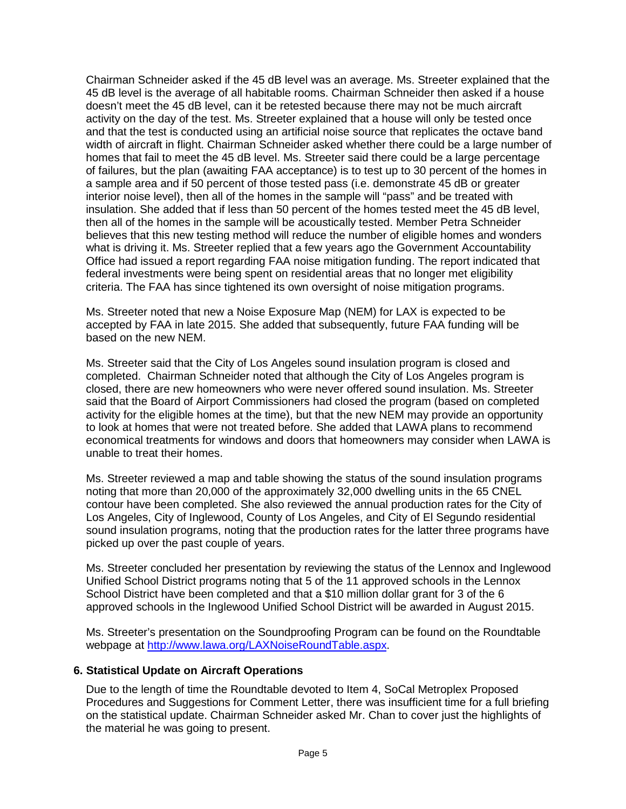Chairman Schneider asked if the 45 dB level was an average. Ms. Streeter explained that the 45 dB level is the average of all habitable rooms. Chairman Schneider then asked if a house doesn't meet the 45 dB level, can it be retested because there may not be much aircraft activity on the day of the test. Ms. Streeter explained that a house will only be tested once and that the test is conducted using an artificial noise source that replicates the octave band width of aircraft in flight. Chairman Schneider asked whether there could be a large number of homes that fail to meet the 45 dB level. Ms. Streeter said there could be a large percentage of failures, but the plan (awaiting FAA acceptance) is to test up to 30 percent of the homes in a sample area and if 50 percent of those tested pass (i.e. demonstrate 45 dB or greater interior noise level), then all of the homes in the sample will "pass" and be treated with insulation. She added that if less than 50 percent of the homes tested meet the 45 dB level, then all of the homes in the sample will be acoustically tested. Member Petra Schneider believes that this new testing method will reduce the number of eligible homes and wonders what is driving it. Ms. Streeter replied that a few years ago the Government Accountability Office had issued a report regarding FAA noise mitigation funding. The report indicated that federal investments were being spent on residential areas that no longer met eligibility criteria. The FAA has since tightened its own oversight of noise mitigation programs.

Ms. Streeter noted that new a Noise Exposure Map (NEM) for LAX is expected to be accepted by FAA in late 2015. She added that subsequently, future FAA funding will be based on the new NEM.

Ms. Streeter said that the City of Los Angeles sound insulation program is closed and completed. Chairman Schneider noted that although the City of Los Angeles program is closed, there are new homeowners who were never offered sound insulation. Ms. Streeter said that the Board of Airport Commissioners had closed the program (based on completed activity for the eligible homes at the time), but that the new NEM may provide an opportunity to look at homes that were not treated before. She added that LAWA plans to recommend economical treatments for windows and doors that homeowners may consider when LAWA is unable to treat their homes.

Ms. Streeter reviewed a map and table showing the status of the sound insulation programs noting that more than 20,000 of the approximately 32,000 dwelling units in the 65 CNEL contour have been completed. She also reviewed the annual production rates for the City of Los Angeles, City of Inglewood, County of Los Angeles, and City of El Segundo residential sound insulation programs, noting that the production rates for the latter three programs have picked up over the past couple of years.

Ms. Streeter concluded her presentation by reviewing the status of the Lennox and Inglewood Unified School District programs noting that 5 of the 11 approved schools in the Lennox School District have been completed and that a \$10 million dollar grant for 3 of the 6 approved schools in the Inglewood Unified School District will be awarded in August 2015.

Ms. Streeter's presentation on the Soundproofing Program can be found on the Roundtable webpage at [http://www.lawa.org/LAXNoiseRoundTable.aspx.](http://www.lawa.org/LAXNoiseRoundTable.aspx)

## **6. Statistical Update on Aircraft Operations**

Due to the length of time the Roundtable devoted to Item 4, SoCal Metroplex Proposed Procedures and Suggestions for Comment Letter, there was insufficient time for a full briefing on the statistical update. Chairman Schneider asked Mr. Chan to cover just the highlights of the material he was going to present.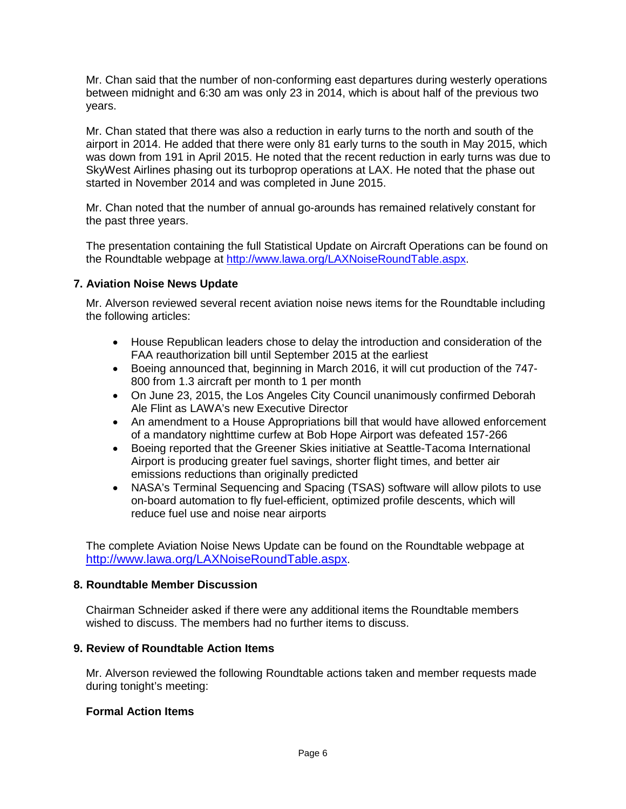Mr. Chan said that the number of non-conforming east departures during westerly operations between midnight and 6:30 am was only 23 in 2014, which is about half of the previous two years.

Mr. Chan stated that there was also a reduction in early turns to the north and south of the airport in 2014. He added that there were only 81 early turns to the south in May 2015, which was down from 191 in April 2015. He noted that the recent reduction in early turns was due to SkyWest Airlines phasing out its turboprop operations at LAX. He noted that the phase out started in November 2014 and was completed in June 2015.

Mr. Chan noted that the number of annual go-arounds has remained relatively constant for the past three years.

The presentation containing the full Statistical Update on Aircraft Operations can be found on the Roundtable webpage at [http://www.lawa.org/LAXNoiseRoundTable.aspx.](http://www.lawa.org/LAXNoiseRoundTable.aspx)

## **7. Aviation Noise News Update**

Mr. Alverson reviewed several recent aviation noise news items for the Roundtable including the following articles:

- House Republican leaders chose to delay the introduction and consideration of the FAA reauthorization bill until September 2015 at the earliest
- Boeing announced that, beginning in March 2016, it will cut production of the 747- 800 from 1.3 aircraft per month to 1 per month
- On June 23, 2015, the Los Angeles City Council unanimously confirmed Deborah Ale Flint as LAWA's new Executive Director
- An amendment to a House Appropriations bill that would have allowed enforcement of a mandatory nighttime curfew at Bob Hope Airport was defeated 157-266
- Boeing reported that the Greener Skies initiative at Seattle-Tacoma International Airport is producing greater fuel savings, shorter flight times, and better air emissions reductions than originally predicted
- NASA's Terminal Sequencing and Spacing (TSAS) software will allow pilots to use on-board automation to fly fuel-efficient, optimized profile descents, which will reduce fuel use and noise near airports

The complete Aviation Noise News Update can be found on the Roundtable webpage at [http://www.lawa.org/LAXNoiseRoundTable.aspx.](http://www.lawa.org/LAXNoiseRoundTable.aspx)

## **8. Roundtable Member Discussion**

Chairman Schneider asked if there were any additional items the Roundtable members wished to discuss. The members had no further items to discuss.

## **9. Review of Roundtable Action Items**

Mr. Alverson reviewed the following Roundtable actions taken and member requests made during tonight's meeting:

## **Formal Action Items**